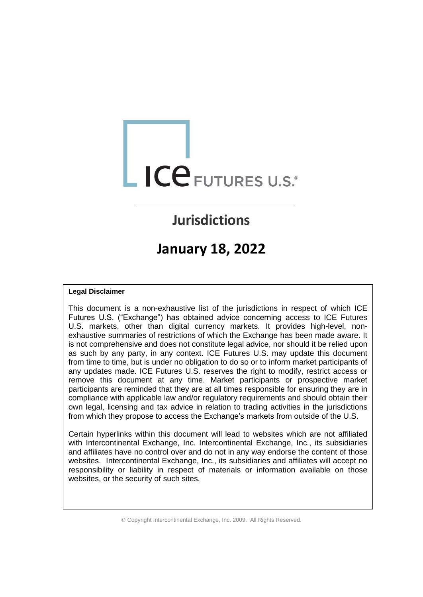# ICE FUTURES U.S.

# **Jurisdictions**

# **January 18, 2022**

# **Legal Disclaimer**

This document is a non-exhaustive list of the jurisdictions in respect of which ICE Futures U.S. ("Exchange") has obtained advice concerning access to ICE Futures U.S. markets, other than digital currency markets. It provides high-level, nonexhaustive summaries of restrictions of which the Exchange has been made aware. It is not comprehensive and does not constitute legal advice, nor should it be relied upon as such by any party, in any context. ICE Futures U.S. may update this document from time to time, but is under no obligation to do so or to inform market participants of any updates made. ICE Futures U.S. reserves the right to modify, restrict access or remove this document at any time. Market participants or prospective market participants are reminded that they are at all times responsible for ensuring they are in compliance with applicable law and/or regulatory requirements and should obtain their own legal, licensing and tax advice in relation to trading activities in the jurisdictions from which they propose to access the Exchange's markets from outside of the U.S.

Certain hyperlinks within this document will lead to websites which are not affiliated with Intercontinental Exchange, Inc. Intercontinental Exchange, Inc., its subsidiaries and affiliates have no control over and do not in any way endorse the content of those websites. Intercontinental Exchange, Inc., its subsidiaries and affiliates will accept no responsibility or liability in respect of materials or information available on those websites, or the security of such sites.

© Copyright Intercontinental Exchange, Inc. 2009. All Rights Reserved.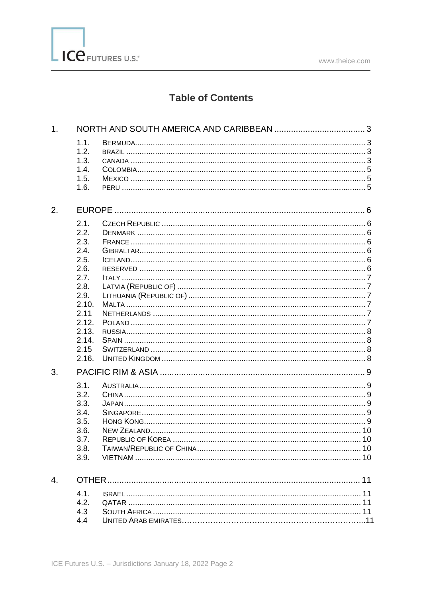

# **Table of Contents**

| 1. |                                                                                                                                   |  |  |
|----|-----------------------------------------------------------------------------------------------------------------------------------|--|--|
|    | 1.1.<br>1.2.<br>1.3.<br>1.4.<br>1.5.<br>1.6.                                                                                      |  |  |
| 2. |                                                                                                                                   |  |  |
|    | 2.1.<br>2.2.<br>2.3.<br>2.4.<br>2.5.<br>2.6.<br>2.7.<br>2.8.<br>2.9.<br>2.10.<br>2.11<br>2.12.<br>2.13.<br>2.14.<br>2.15<br>2.16. |  |  |
| 3. |                                                                                                                                   |  |  |
|    | 3.1.<br>3.2.<br>3.3.<br>3.4.<br>3.5.<br>3.6.<br>3.7.<br>3.8.<br>3.9.                                                              |  |  |
| 4. |                                                                                                                                   |  |  |
|    | 4.1.<br>4.2.<br>4.3<br>4.4                                                                                                        |  |  |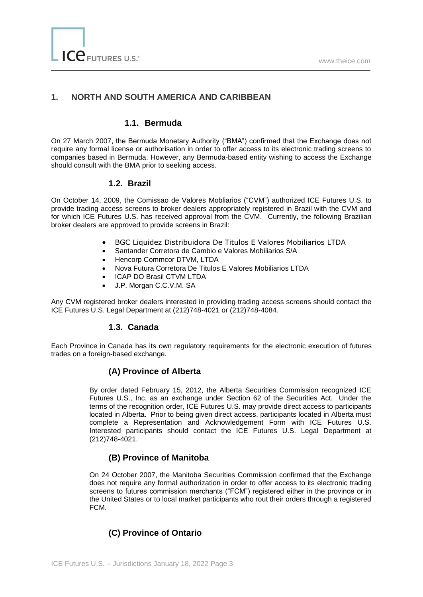# **1. NORTH AND SOUTH AMERICA AND CARIBBEAN**

# **1.1. Bermuda**

On 27 March 2007, the Bermuda Monetary Authority ("BMA") confirmed that the Exchange does not require any formal license or authorisation in order to offer access to its electronic trading screens to companies based in Bermuda. However, any Bermuda-based entity wishing to access the Exchange should consult with the BMA prior to seeking access.

#### **1.2. Brazil**

On October 14, 2009, the Comissao de Valores Mobliarios ("CVM") authorized ICE Futures U.S. to provide trading access screens to broker dealers appropriately registered in Brazil with the CVM and for which ICE Futures U.S. has received approval from the CVM. Currently, the following Brazilian broker dealers are approved to provide screens in Brazil:

- BGC Liquidez Distribuidora De Titulos E Valores Mobiliarios LTDA
- Santander Corretora de Cambio e Valores Mobiliarios S/A
- Hencorp Commcor DTVM, LTDA
- Nova Futura Corretora De Titulos E Valores Mobiliarios LTDA
- ICAP DO Brasil CTVM LTDA
- J.P. Morgan C.C.V.M. SA

Any CVM registered broker dealers interested in providing trading access screens should contact the ICE Futures U.S. Legal Department at (212)748-4021 or (212)748-4084.

# **1.3. Canada**

Each Province in Canada has its own regulatory requirements for the electronic execution of futures trades on a foreign-based exchange.

# **(A) Province of Alberta**

By order dated February 15, 2012, the Alberta Securities Commission recognized ICE Futures U.S., Inc. as an exchange under Section 62 of the Securities Act. Under the terms of the recognition order, ICE Futures U.S. may provide direct access to participants located in Alberta. Prior to being given direct access, participants located in Alberta must complete a Representation and Acknowledgement Form with ICE Futures U.S. Interested participants should contact the ICE Futures U.S. Legal Department at (212)748-4021.

# **(B) Province of Manitoba**

On 24 October 2007, the Manitoba Securities Commission confirmed that the Exchange does not require any formal authorization in order to offer access to its electronic trading screens to futures commission merchants ("FCM") registered either in the province or in the United States or to local market participants who rout their orders through a registered FCM.

# **(C) Province of Ontario**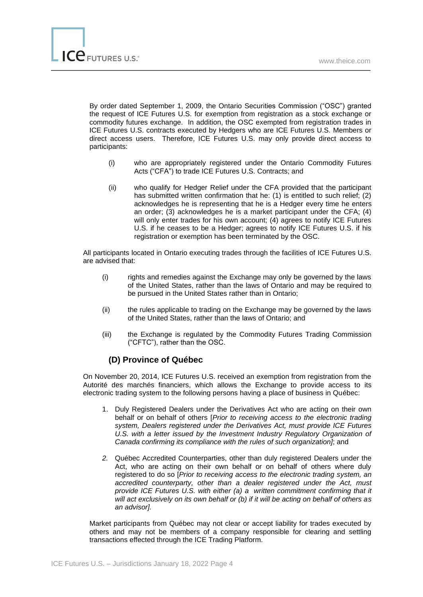By order dated September 1, 2009, the Ontario Securities Commission ("OSC") granted the request of ICE Futures U.S. for exemption from registration as a stock exchange or commodity futures exchange. In addition, the OSC exempted from registration trades in ICE Futures U.S. contracts executed by Hedgers who are ICE Futures U.S. Members or direct access users. Therefore, ICE Futures U.S. may only provide direct access to participants:

- (i) who are appropriately registered under the Ontario Commodity Futures Acts ("CFA") to trade ICE Futures U.S. Contracts; and
- (ii) who qualify for Hedger Relief under the CFA provided that the participant has submitted written confirmation that he: (1) is entitled to such relief; (2) acknowledges he is representing that he is a Hedger every time he enters an order; (3) acknowledges he is a market participant under the CFA; (4) will only enter trades for his own account; (4) agrees to notify ICE Futures U.S. if he ceases to be a Hedger; agrees to notify ICE Futures U.S. if his registration or exemption has been terminated by the OSC.

All participants located in Ontario executing trades through the facilities of ICE Futures U.S. are advised that:

- (i) rights and remedies against the Exchange may only be governed by the laws of the United States, rather than the laws of Ontario and may be required to be pursued in the United States rather than in Ontario;
- (ii) the rules applicable to trading on the Exchange may be governed by the laws of the United States, rather than the laws of Ontario; and
- (iii) the Exchange is regulated by the Commodity Futures Trading Commission ("CFTC"), rather than the OSC.

# **(D) Province of Québec**

On November 20, 2014, ICE Futures U.S. received an exemption from registration from the Autorité des marchés financiers, which allows the Exchange to provide access to its electronic trading system to the following persons having a place of business in Québec:

- 1. Duly Registered Dealers under the Derivatives Act who are acting on their own behalf or on behalf of others [*Prior to receiving access to the electronic trading system, Dealers registered under the Derivatives Act, must provide ICE Futures*  U.S. with a letter issued by the Investment Industry Regulatory Organization of *Canada confirming its compliance with the rules of such organization]*; and
- *2.* Québec Accredited Counterparties, other than duly registered Dealers under the Act, who are acting on their own behalf or on behalf of others where duly registered to do so [*Prior to receiving access to the electronic trading system, an accredited counterparty, other than a dealer registered under the Act, must provide ICE Futures U.S. with either (a) a written commitment confirming that it will act exclusively on its own behalf or (b) if it will be acting on behalf of others as an advisor].*

Market participants from Québec may not clear or accept liability for trades executed by others and may not be members of a company responsible for clearing and settling transactions effected through the ICE Trading Platform.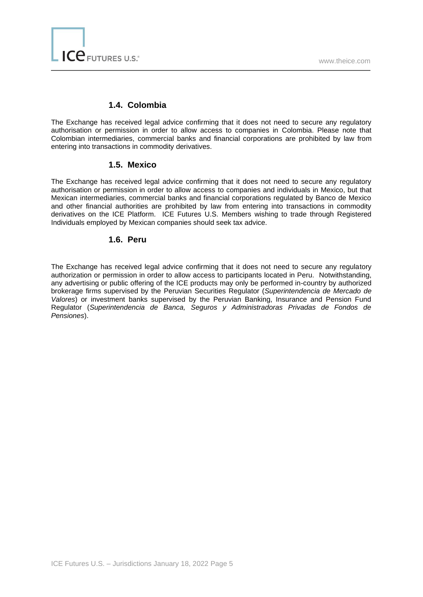# **1.4. Colombia**

The Exchange has received legal advice confirming that it does not need to secure any regulatory authorisation or permission in order to allow access to companies in Colombia. Please note that Colombian intermediaries, commercial banks and financial corporations are prohibited by law from entering into transactions in commodity derivatives.

# **1.5. Mexico**

The Exchange has received legal advice confirming that it does not need to secure any regulatory authorisation or permission in order to allow access to companies and individuals in Mexico, but that Mexican intermediaries, commercial banks and financial corporations regulated by Banco de Mexico and other financial authorities are prohibited by law from entering into transactions in commodity derivatives on the ICE Platform. ICE Futures U.S. Members wishing to trade through Registered Individuals employed by Mexican companies should seek tax advice.

#### **1.6. Peru**

The Exchange has received legal advice confirming that it does not need to secure any regulatory authorization or permission in order to allow access to participants located in Peru. Notwithstanding, any advertising or public offering of the ICE products may only be performed in-country by authorized brokerage firms supervised by the Peruvian Securities Regulator (*Superintendencia de Mercado de Valores*) or investment banks supervised by the Peruvian Banking, Insurance and Pension Fund Regulator (*Superintendencia de Banca, Seguros y Administradoras Privadas de Fondos de Pensiones*).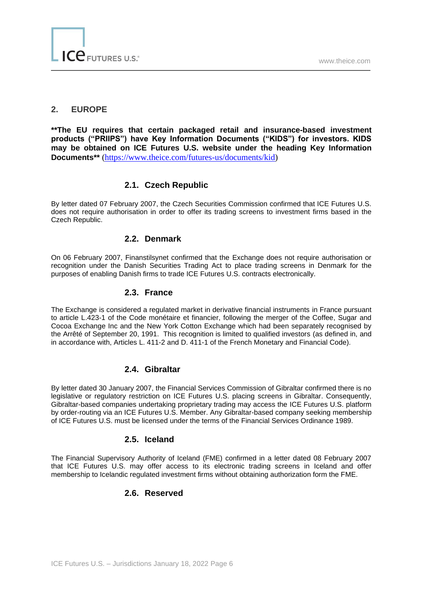#### **2. EUROPE**

**\*\*The EU requires that certain packaged retail and insurance-based investment products ("PRIIPS") have Key Information Documents ("KIDS") for investors. KIDS may be obtained on ICE Futures U.S. website under the heading Key Information Documents\*\*** [\(https://www.theice.com/futures-us/documents/kid\)](https://www.theice.com/futures-us/documents/kid)

# **2.1. Czech Republic**

By letter dated 07 February 2007, the Czech Securities Commission confirmed that ICE Futures U.S. does not require authorisation in order to offer its trading screens to investment firms based in the Czech Republic.

#### **2.2. Denmark**

On 06 February 2007, Finanstilsynet confirmed that the Exchange does not require authorisation or recognition under the Danish Securities Trading Act to place trading screens in Denmark for the purposes of enabling Danish firms to trade ICE Futures U.S. contracts electronically.

#### **2.3. France**

The Exchange is considered a regulated market in derivative financial instruments in France pursuant to article L.423-1 of the Code monétaire et financier, following the merger of the Coffee, Sugar and Cocoa Exchange Inc and the New York Cotton Exchange which had been separately recognised by the Arrêté of September 20, 1991. This recognition is limited to qualified investors (as defined in, and in accordance with, Articles L. 411-2 and D. 411-1 of the French Monetary and Financial Code).

# **2.4. Gibraltar**

By letter dated 30 January 2007, the Financial Services Commission of Gibraltar confirmed there is no legislative or regulatory restriction on ICE Futures U.S. placing screens in Gibraltar. Consequently, Gibraltar-based companies undertaking proprietary trading may access the ICE Futures U.S. platform by order-routing via an ICE Futures U.S. Member. Any Gibraltar-based company seeking membership of ICE Futures U.S. must be licensed under the terms of the Financial Services Ordinance 1989.

# **2.5. Iceland**

The Financial Supervisory Authority of Iceland (FME) confirmed in a letter dated 08 February 2007 that ICE Futures U.S. may offer access to its electronic trading screens in Iceland and offer membership to Icelandic regulated investment firms without obtaining authorization form the FME.

# **2.6. Reserved**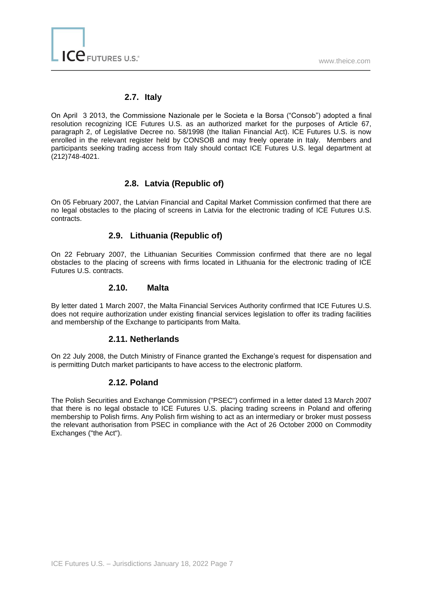# **2.7. Italy**

On April 3 2013, the Commissione Nazionale per le Societa e la Borsa ("Consob") adopted a final resolution recognizing ICE Futures U.S. as an authorized market for the purposes of Article 67, paragraph 2, of Legislative Decree no. 58/1998 (the Italian Financial Act). ICE Futures U.S. is now enrolled in the relevant register held by CONSOB and may freely operate in Italy. Members and participants seeking trading access from Italy should contact ICE Futures U.S. legal department at (212)748-4021.

# **2.8. Latvia (Republic of)**

On 05 February 2007, the Latvian Financial and Capital Market Commission confirmed that there are no legal obstacles to the placing of screens in Latvia for the electronic trading of ICE Futures U.S. contracts.

# **2.9. Lithuania (Republic of)**

On 22 February 2007, the Lithuanian Securities Commission confirmed that there are no legal obstacles to the placing of screens with firms located in Lithuania for the electronic trading of ICE Futures U.S. contracts.

#### **2.10. Malta**

By letter dated 1 March 2007, the Malta Financial Services Authority confirmed that ICE Futures U.S. does not require authorization under existing financial services legislation to offer its trading facilities and membership of the Exchange to participants from Malta.

# **2.11. Netherlands**

On 22 July 2008, the Dutch Ministry of Finance granted the Exchange's request for dispensation and is permitting Dutch market participants to have access to the electronic platform.

# **2.12. Poland**

The Polish Securities and Exchange Commission ("PSEC") confirmed in a letter dated 13 March 2007 that there is no legal obstacle to ICE Futures U.S. placing trading screens in Poland and offering membership to Polish firms. Any Polish firm wishing to act as an intermediary or broker must possess the relevant authorisation from PSEC in compliance with the Act of 26 October 2000 on Commodity Exchanges ("the Act").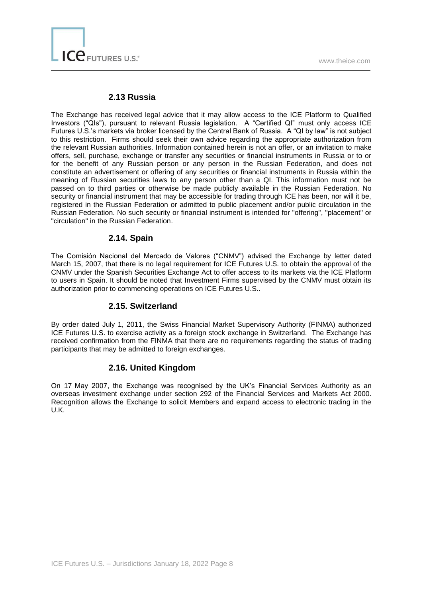#### **2.13 Russia**

The Exchange has received legal advice that it may allow access to the ICE Platform to Qualified Investors ("QIs"), pursuant to relevant Russia legislation. A "Certified QI" must only access ICE Futures U.S.'s markets via broker licensed by the Central Bank of Russia. A "QI by law" is not subject to this restriction. Firms should seek their own advice regarding the appropriate authorization from the relevant Russian authorities. Information contained herein is not an offer, or an invitation to make offers, sell, purchase, exchange or transfer any securities or financial instruments in Russia or to or for the benefit of any Russian person or any person in the Russian Federation, and does not constitute an advertisement or offering of any securities or financial instruments in Russia within the meaning of Russian securities laws to any person other than a QI. This information must not be passed on to third parties or otherwise be made publicly available in the Russian Federation. No security or financial instrument that may be accessible for trading through ICE has been, nor will it be, registered in the Russian Federation or admitted to public placement and/or public circulation in the Russian Federation. No such security or financial instrument is intended for "offering", "placement" or "circulation" in the Russian Federation.

# **2.14. Spain**

The Comisiόn Nacional del Mercado de Valores ("CNMV") advised the Exchange by letter dated March 15, 2007, that there is no legal requirement for ICE Futures U.S. to obtain the approval of the CNMV under the Spanish Securities Exchange Act to offer access to its markets via the ICE Platform to users in Spain. It should be noted that Investment Firms supervised by the CNMV must obtain its authorization prior to commencing operations on ICE Futures U.S..

# **2.15. Switzerland**

By order dated July 1, 2011, the Swiss Financial Market Supervisory Authority (FINMA) authorized ICE Futures U.S. to exercise activity as a foreign stock exchange in Switzerland. The Exchange has received confirmation from the FINMA that there are no requirements regarding the status of trading participants that may be admitted to foreign exchanges.

# **2.16. United Kingdom**

On 17 May 2007, the Exchange was recognised by the UK's Financial Services Authority as an overseas investment exchange under section 292 of the Financial Services and Markets Act 2000. Recognition allows the Exchange to solicit Members and expand access to electronic trading in the U.K.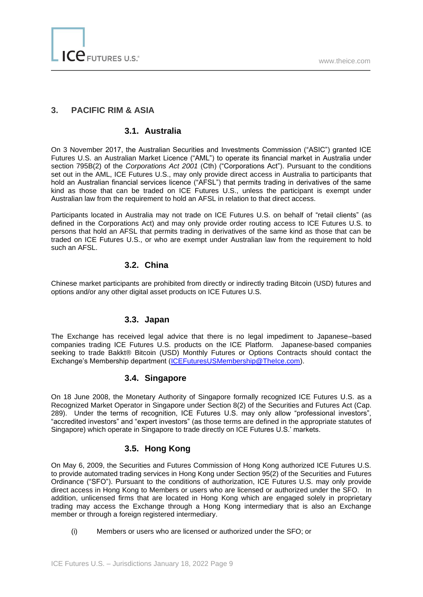# **3. PACIFIC RIM & ASIA**

# **3.1. Australia**

On 3 November 2017, the Australian Securities and Investments Commission ("ASIC") granted ICE Futures U.S. an Australian Market Licence ("AML") to operate its financial market in Australia under section 795B(2) of the *Corporations Act 2001* (Cth) ("Corporations Act"). Pursuant to the conditions set out in the AML, ICE Futures U.S., may only provide direct access in Australia to participants that hold an Australian financial services licence ("AFSL") that permits trading in derivatives of the same kind as those that can be traded on ICE Futures U.S., unless the participant is exempt under Australian law from the requirement to hold an AFSL in relation to that direct access.

Participants located in Australia may not trade on ICE Futures U.S. on behalf of "retail clients" (as defined in the Corporations Act) and may only provide order routing access to ICE Futures U.S. to persons that hold an AFSL that permits trading in derivatives of the same kind as those that can be traded on ICE Futures U.S., or who are exempt under Australian law from the requirement to hold such an AFSL.

# **3.2. China**

Chinese market participants are prohibited from directly or indirectly trading Bitcoin (USD) futures and options and/or any other digital asset products on ICE Futures U.S.

# **3.3. Japan**

The Exchange has received legal advice that there is no legal impediment to Japanese–based companies trading ICE Futures U.S. products on the ICE Platform. Japanese-based companies seeking to trade Bakkt® Bitcoin (USD) Monthly Futures or Options Contracts should contact the Exchange's Membership department [\(ICEFuturesUSMembership@TheIce.com\)](mailto:ICEFuturesUSMembership@TheIce.com).

#### **3.4. Singapore**

On 18 June 2008, the Monetary Authority of Singapore formally recognized ICE Futures U.S. as a Recognized Market Operator in Singapore under Section 8(2) of the Securities and Futures Act (Cap. 289). Under the terms of recognition, ICE Futures U.S. may only allow "professional investors", "accredited investors" and "expert investors" (as those terms are defined in the appropriate statutes of Singapore) which operate in Singapore to trade directly on ICE Futures U.S.' markets.

# **3.5. Hong Kong**

On May 6, 2009, the Securities and Futures Commission of Hong Kong authorized ICE Futures U.S. to provide automated trading services in Hong Kong under Section 95(2) of the Securities and Futures Ordinance ("SFO"). Pursuant to the conditions of authorization, ICE Futures U.S. may only provide direct access in Hong Kong to Members or users who are licensed or authorized under the SFO. In addition, unlicensed firms that are located in Hong Kong which are engaged solely in proprietary trading may access the Exchange through a Hong Kong intermediary that is also an Exchange member or through a foreign registered intermediary.

(i) Members or users who are licensed or authorized under the SFO; or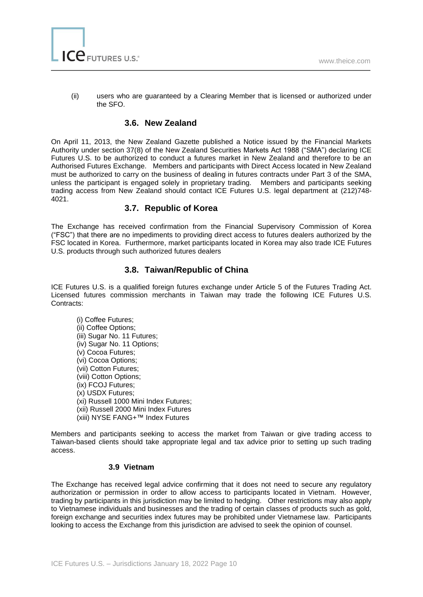

(ii) users who are guaranteed by a Clearing Member that is licensed or authorized under the SFO.

# **3.6. New Zealand**

On April 11, 2013, the New Zealand Gazette published a Notice issued by the Financial Markets Authority under section 37(8) of the New Zealand Securities Markets Act 1988 ("SMA") declaring ICE Futures U.S. to be authorized to conduct a futures market in New Zealand and therefore to be an Authorised Futures Exchange. Members and participants with Direct Access located in New Zealand must be authorized to carry on the business of dealing in futures contracts under Part 3 of the SMA, unless the participant is engaged solely in proprietary trading. Members and participants seeking trading access from New Zealand should contact ICE Futures U.S. legal department at (212)748- 4021.

# **3.7. Republic of Korea**

The Exchange has received confirmation from the Financial Supervisory Commission of Korea ("FSC") that there are no impediments to providing direct access to futures dealers authorized by the FSC located in Korea. Furthermore, market participants located in Korea may also trade ICE Futures U.S. products through such authorized futures dealers

# **3.8. Taiwan/Republic of China**

ICE Futures U.S. is a qualified foreign futures exchange under Article 5 of the Futures Trading Act. Licensed futures commission merchants in Taiwan may trade the following ICE Futures U.S. Contracts:

(i) Coffee Futures; (ii) Coffee Options; (iii) Sugar No. 11 Futures; (iv) Sugar No. 11 Options; (v) Cocoa Futures; (vi) Cocoa Options; (vii) Cotton Futures; (viii) Cotton Options; (ix) FCOJ Futures; (x) USDX Futures; (xi) Russell 1000 Mini Index Futures; (xii) Russell 2000 Mini Index Futures (xiii) NYSE FANG+™ Index Futures

Members and participants seeking to access the market from Taiwan or give trading access to Taiwan-based clients should take appropriate legal and tax advice prior to setting up such trading access.

#### **3.9 Vietnam**

The Exchange has received legal advice confirming that it does not need to secure any regulatory authorization or permission in order to allow access to participants located in Vietnam. However, trading by participants in this jurisdiction may be limited to hedging. Other restrictions may also apply to Vietnamese individuals and businesses and the trading of certain classes of products such as gold, foreign exchange and securities index futures may be prohibited under Vietnamese law. Participants looking to access the Exchange from this jurisdiction are advised to seek the opinion of counsel.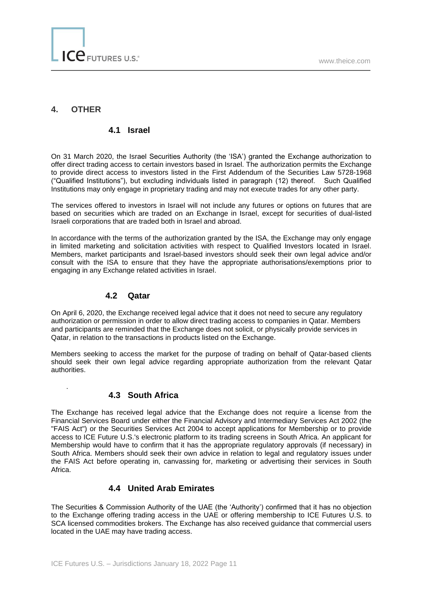# **4. OTHER**

.

#### **4.1 Israel**

On 31 March 2020, the Israel Securities Authority (the 'ISA') granted the Exchange authorization to offer direct trading access to certain investors based in Israel. The authorization permits the Exchange to provide direct access to investors listed in the First Addendum of the Securities Law 5728-1968 ("Qualified Institutions"), but excluding individuals listed in paragraph (12) thereof. Such Qualified Institutions may only engage in proprietary trading and may not execute trades for any other party.

The services offered to investors in Israel will not include any futures or options on futures that are based on securities which are traded on an Exchange in Israel, except for securities of dual-listed Israeli corporations that are traded both in Israel and abroad.

In accordance with the terms of the authorization granted by the ISA, the Exchange may only engage in limited marketing and solicitation activities with respect to Qualified Investors located in Israel. Members, market participants and Israel-based investors should seek their own legal advice and/or consult with the ISA to ensure that they have the appropriate authorisations/exemptions prior to engaging in any Exchange related activities in Israel.

#### **4.2 Qatar**

On April 6, 2020, the Exchange received legal advice that it does not need to secure any regulatory authorization or permission in order to allow direct trading access to companies in Qatar. Members and participants are reminded that the Exchange does not solicit, or physically provide services in Qatar, in relation to the transactions in products listed on the Exchange.

Members seeking to access the market for the purpose of trading on behalf of Qatar-based clients should seek their own legal advice regarding appropriate authorization from the relevant Qatar authorities.

#### **4.3 South Africa**

The Exchange has received legal advice that the Exchange does not require a license from the Financial Services Board under either the Financial Advisory and Intermediary Services Act 2002 (the "FAIS Act") or the Securities Services Act 2004 to accept applications for Membership or to provide access to ICE Future U.S.'s electronic platform to its trading screens in South Africa. An applicant for Membership would have to confirm that it has the appropriate regulatory approvals (if necessary) in South Africa. Members should seek their own advice in relation to legal and regulatory issues under the FAIS Act before operating in, canvassing for, marketing or advertising their services in South Africa.

# **4.4 United Arab Emirates**

The Securities & Commission Authority of the UAE (the 'Authority') confirmed that it has no objection to the Exchange offering trading access in the UAE or offering membership to ICE Futures U.S. to SCA licensed commodities brokers. The Exchange has also received guidance that commercial users located in the UAE may have trading access.